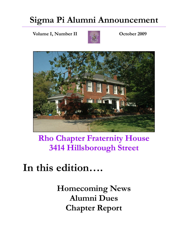### **Sigma Pi Alumni Announcement**

**Volume I, Number II and Couple 2009 October 2009** 





### **Rho Chapter Fraternity House 3414 Hillsborough Street**

### **In this edition….**

**Homecoming News Alumni Dues Chapter Report**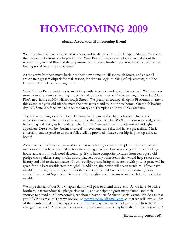# **HOMECOMING 2009**

#### **Alumni Association Homecoming Event!**

We hope that you have all enjoyed receiving and reading the first Rho Chapter Alumni Newsletter that was sent electronically to you in July. Your Board members are all very excited about the recent resurgence of Rho and the opportunities the active brotherhood now have to become the leading social fraternity at NC State!

As the active brothers move back into their new home on Hillsborough Street, and as we all anticipate a great Wolfpack football season, it's time to begin thinking of rejuvenating the Rho Chapter Alumni Homecoming event.

Your Alumni Board continues to meet frequently in person and by conference call. We have now turned our attention to planning a social for all of our alumni on Friday evening, November 6th, at Rho's new home at 3414 Hillsborough Street. We greatly encourage all Sigma Pi Alumni to attend this event, see your old friends, meet the new actives, and tour our new home. On the following day, NC State Wolfpack will take on the Maryland Terrapins at Carter-Finley Stadium.

The Friday evening social will be held from  $8 - 11$  p.m. at the chapter house. Due to the university's rules for fraternities and sororities, the social will be BYOB, and our new pledges will be helping and acting as bartenders. The Alumni Association will provide mixers and light appetizers. Dress will be "business-casual" so everyone can relax and have a great time. Music entertainment, targeted to us older folks, will be provided. Leave your hip-hop or rap attire at home!

As our active brothers have moved into their new home, we want to replenish a lot of the old memorabilia that have been taken for safe keeping or simply lost over the years. Ours is a large house, and a lot of walls need decorating. If you have composite pictures from years past, old pledge class paddles, scrap books, award plaques, or any other items that would help restore our history and add to the ambiance of our new digs, please bring those items with you. A prize will be given for the best useable item brought! In addition, the house still needs furniture. If you have useable furniture, rugs, lamps, or other items that you would like to bring and donate, please contact the current Sage, Peter Barnes, at plbarnes@ncsu.edu, to make sure such items would be useable.

We hope that all of our Rho Chapter alumni will plan to attend this event. As we have 46 active brothers, a tremendous fall pledge class of 14, and anticipate a great many alumni and their spouses to attend our Homecoming, we should have a terrific alumni social event. We do ask that you RSVP by email to Tommy Rodwell at tommy.rodwell@gmail.com so that we will have an idea of the number of alumni to expect, and so that we may have name badges ready. **There is no charge to attend!** A prize will be awarded to the alumnus traveling from the furthest destination!

#### (**Homcoming continued)**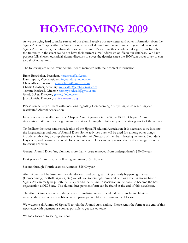## **HOMECOMING 2009**

As we are trying hard to make sure all of our alumni receive our newsletter and other information from the Sigma Pi Rho Chapter Alumni Association, we ask all alumni brothers to make sure your old friends at Sigma Pi are receiving the information we are sending. Please pass this newsletter along to your friends in the fraternity in the event we do not have their current e-mail addresses on file in our database. We have purposefully chosen our initial alumni directors to cover the decades since the 1950's, in order to try to contact all of our alumni.

The following are our current Alumni Board members with their contact information:

Brent Brewbaker, President, ncsubrew@aol.com Dan Ingram, Vice President, ingramdan@nc.rr.com Chris Albers, Treasurer, chris.albers@pgnmail.com Charlie Gardner, Secretary, mudcat48@embarqmail.com Tommy Rodwell, Director, tommy.rodwell@gmail.com Grady Sykes, Director, gsykes@nc.rr.com Jack Daniels, Director, danielsj@aatcc.org

Please contact any of them with questions regarding Homecoming or anything to do regarding our reactivated Alumni Association.

Finally, we ask that all of our Rho Chapter Alumni please join the Sigma Pi Rho Chapter Alumni Association. Without a strong base initially, it will be tough to fully support the strong work of the actives.

To facilitate the successful revitalization of the Sigma Pi Alumni Association, it is necessary to re-institute the longstanding tradition of Alumni Dues. Some activities dues will be used for, among other things, include: establishing a comprehensive online Alumni Directory of members, hosting an annual Founder's Day event, and hosting an annual Homecoming event. Dues are very reasonable, and are assigned on the following schedule:

General Alumni Dues (any alumnus more than 4 years removed from undergraduate): \$50.00/year

First year as Alumnus (year following graduation): \$0.00/year

Second through Fourth years as Alumnus: \$25.00/year

Alumni dues will be based on the calendar year, and with great things already happening this year (Homecoming, football tailgates, etc.) we ask you to join right now and help us grow. A strong base of Sigma Pi's can really help both the Chapter and the Alumni Association in the quest to become the best organization at NC State. The alumni dues payment form can be found at the end of this newsletter.

The Alumni Association is in the process of finalizing other procedural items, including lifetime memberships and other benefits of active participation. More information will follow.

We welcome all Alumni of Sigma Pi to join the Alumni Association. Please remit the form at the end of this newsletter with payment as soon as possible to get started today!

We look forward to seeing you soon!